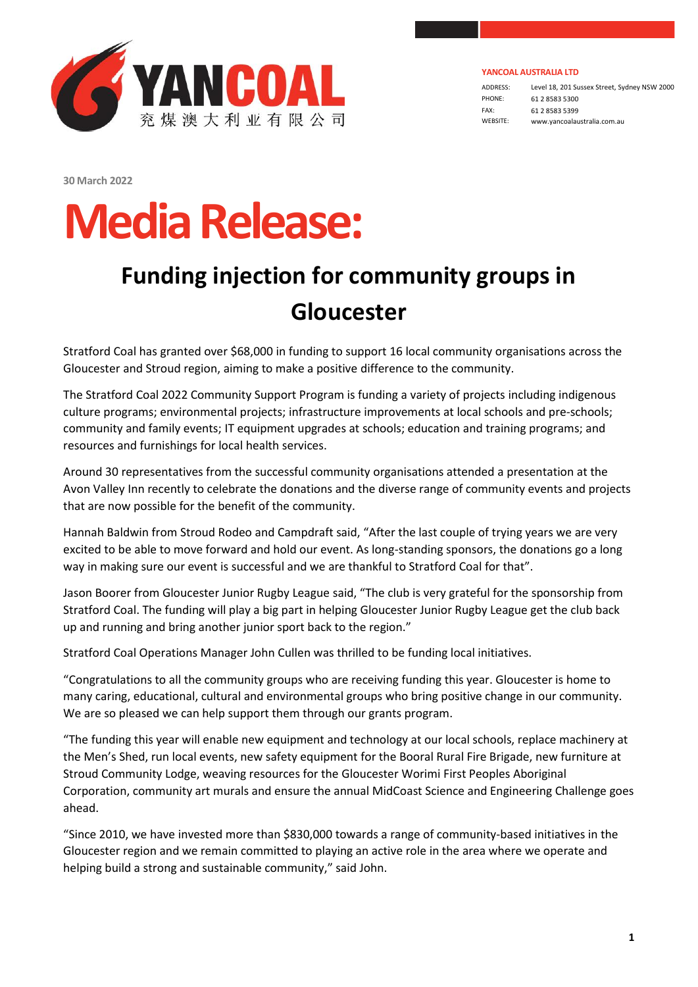

ADDRESS: Level 18, 201 Sussex Street, Sydney NSW 2000 PHONE: 61 2 8583 5300 FAX: 61 2 8583 5399 WEBSITE: www.yancoalaustralia.com.au

**30 March 2022**

## **MediaRelease:**

## **Funding injection for community groups in Gloucester**

Stratford Coal has granted over \$68,000 in funding to support 16 local community organisations across the Gloucester and Stroud region, aiming to make a positive difference to the community.

The Stratford Coal 2022 Community Support Program is funding a variety of projects including indigenous culture programs; environmental projects; infrastructure improvements at local schools and pre-schools; community and family events; IT equipment upgrades at schools; education and training programs; and resources and furnishings for local health services.

Around 30 representatives from the successful community organisations attended a presentation at the Avon Valley Inn recently to celebrate the donations and the diverse range of community events and projects that are now possible for the benefit of the community.

Hannah Baldwin from Stroud Rodeo and Campdraft said, "After the last couple of trying years we are very excited to be able to move forward and hold our event. As long-standing sponsors, the donations go a long way in making sure our event is successful and we are thankful to Stratford Coal for that".

Jason Boorer from Gloucester Junior Rugby League said, "The club is very grateful for the sponsorship from Stratford Coal. The funding will play a big part in helping Gloucester Junior Rugby League get the club back up and running and bring another junior sport back to the region."

Stratford Coal Operations Manager John Cullen was thrilled to be funding local initiatives.

"Congratulations to all the community groups who are receiving funding this year. Gloucester is home to many caring, educational, cultural and environmental groups who bring positive change in our community. We are so pleased we can help support them through our grants program.

"The funding this year will enable new equipment and technology at our local schools, replace machinery at the Men's Shed, run local events, new safety equipment for the Booral Rural Fire Brigade, new furniture at Stroud Community Lodge, weaving resources for the Gloucester Worimi First Peoples Aboriginal Corporation, community art murals and ensure the annual MidCoast Science and Engineering Challenge goes ahead.

"Since 2010, we have invested more than \$830,000 towards a range of community-based initiatives in the Gloucester region and we remain committed to playing an active role in the area where we operate and helping build a strong and sustainable community," said John.